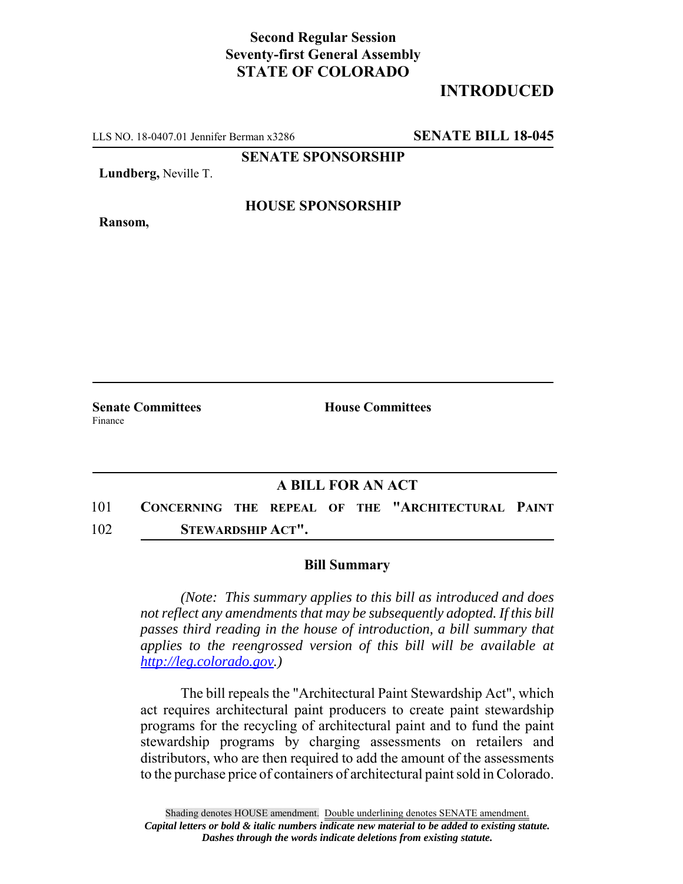## **Second Regular Session Seventy-first General Assembly STATE OF COLORADO**

# **INTRODUCED**

LLS NO. 18-0407.01 Jennifer Berman x3286 **SENATE BILL 18-045**

**SENATE SPONSORSHIP**

**Lundberg,** Neville T.

**Ransom,**

#### **HOUSE SPONSORSHIP**

**Senate Committees House Committees** Finance

### **A BILL FOR AN ACT**

101 **CONCERNING THE REPEAL OF THE "ARCHITECTURAL PAINT** 102 **STEWARDSHIP ACT".**

#### **Bill Summary**

*(Note: This summary applies to this bill as introduced and does not reflect any amendments that may be subsequently adopted. If this bill passes third reading in the house of introduction, a bill summary that applies to the reengrossed version of this bill will be available at http://leg.colorado.gov.)*

The bill repeals the "Architectural Paint Stewardship Act", which act requires architectural paint producers to create paint stewardship programs for the recycling of architectural paint and to fund the paint stewardship programs by charging assessments on retailers and distributors, who are then required to add the amount of the assessments to the purchase price of containers of architectural paint sold in Colorado.